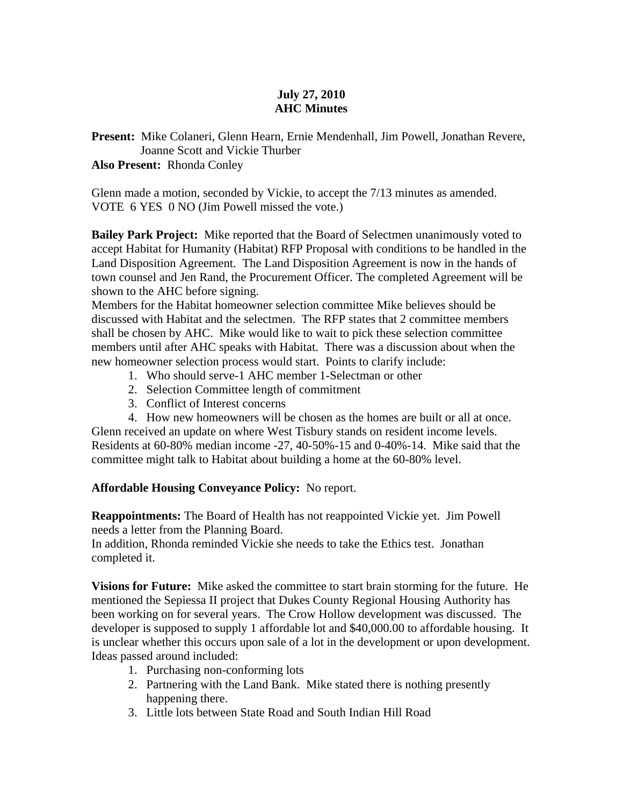## **July 27, 2010 AHC Minutes**

**Present:** Mike Colaneri, Glenn Hearn, Ernie Mendenhall, Jim Powell, Jonathan Revere, Joanne Scott and Vickie Thurber

#### **Also Present:** Rhonda Conley

Glenn made a motion, seconded by Vickie, to accept the 7/13 minutes as amended. VOTE 6 YES 0 NO (Jim Powell missed the vote.)

**Bailey Park Project:** Mike reported that the Board of Selectmen unanimously voted to accept Habitat for Humanity (Habitat) RFP Proposal with conditions to be handled in the Land Disposition Agreement. The Land Disposition Agreement is now in the hands of town counsel and Jen Rand, the Procurement Officer. The completed Agreement will be shown to the AHC before signing.

Members for the Habitat homeowner selection committee Mike believes should be discussed with Habitat and the selectmen. The RFP states that 2 committee members shall be chosen by AHC. Mike would like to wait to pick these selection committee members until after AHC speaks with Habitat. There was a discussion about when the new homeowner selection process would start. Points to clarify include:

- 1. Who should serve-1 AHC member 1-Selectman or other
- 2. Selection Committee length of commitment
- 3. Conflict of Interest concerns

4. How new homeowners will be chosen as the homes are built or all at once. Glenn received an update on where West Tisbury stands on resident income levels. Residents at 60-80% median income -27, 40-50%-15 and 0-40%-14. Mike said that the committee might talk to Habitat about building a home at the 60-80% level.

### **Affordable Housing Conveyance Policy:** No report.

**Reappointments:** The Board of Health has not reappointed Vickie yet. Jim Powell needs a letter from the Planning Board.

In addition, Rhonda reminded Vickie she needs to take the Ethics test. Jonathan completed it.

**Visions for Future:** Mike asked the committee to start brain storming for the future. He mentioned the Sepiessa II project that Dukes County Regional Housing Authority has been working on for several years. The Crow Hollow development was discussed. The developer is supposed to supply 1 affordable lot and \$40,000.00 to affordable housing. It is unclear whether this occurs upon sale of a lot in the development or upon development. Ideas passed around included:

- 1. Purchasing non-conforming lots
- 2. Partnering with the Land Bank. Mike stated there is nothing presently happening there.
- 3. Little lots between State Road and South Indian Hill Road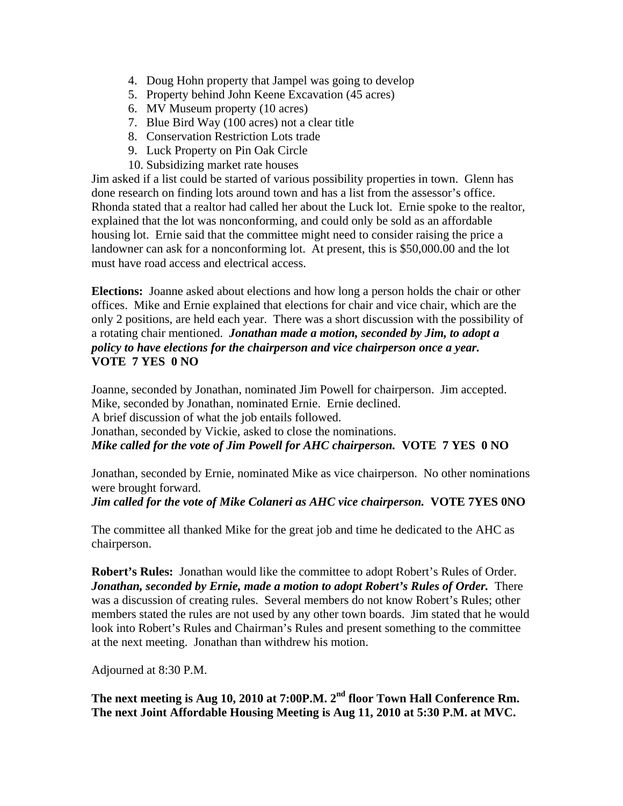- 4. Doug Hohn property that Jampel was going to develop
- 5. Property behind John Keene Excavation (45 acres)
- 6. MV Museum property (10 acres)
- 7. Blue Bird Way (100 acres) not a clear title
- 8. Conservation Restriction Lots trade
- 9. Luck Property on Pin Oak Circle
- 10. Subsidizing market rate houses

Jim asked if a list could be started of various possibility properties in town. Glenn has done research on finding lots around town and has a list from the assessor's office. Rhonda stated that a realtor had called her about the Luck lot. Ernie spoke to the realtor, explained that the lot was nonconforming, and could only be sold as an affordable housing lot. Ernie said that the committee might need to consider raising the price a landowner can ask for a nonconforming lot. At present, this is \$50,000.00 and the lot must have road access and electrical access.

**Elections:** Joanne asked about elections and how long a person holds the chair or other offices. Mike and Ernie explained that elections for chair and vice chair, which are the only 2 positions, are held each year. There was a short discussion with the possibility of a rotating chair mentioned. *Jonathan made a motion, seconded by Jim, to adopt a policy to have elections for the chairperson and vice chairperson once a year.*  **VOTE 7 YES 0 NO** 

Joanne, seconded by Jonathan, nominated Jim Powell for chairperson. Jim accepted. Mike, seconded by Jonathan, nominated Ernie. Ernie declined. A brief discussion of what the job entails followed. Jonathan, seconded by Vickie, asked to close the nominations. *Mike called for the vote of Jim Powell for AHC chairperson.* **VOTE 7 YES 0 NO** 

Jonathan, seconded by Ernie, nominated Mike as vice chairperson. No other nominations were brought forward.

#### *Jim called for the vote of Mike Colaneri as AHC vice chairperson.* **VOTE 7YES 0NO**

The committee all thanked Mike for the great job and time he dedicated to the AHC as chairperson.

**Robert's Rules:** Jonathan would like the committee to adopt Robert's Rules of Order. *Jonathan, seconded by Ernie, made a motion to adopt Robert's Rules of Order.* There was a discussion of creating rules. Several members do not know Robert's Rules; other members stated the rules are not used by any other town boards. Jim stated that he would look into Robert's Rules and Chairman's Rules and present something to the committee at the next meeting. Jonathan than withdrew his motion.

Adjourned at 8:30 P.M.

# **The next meeting is Aug 10, 2010 at 7:00P.M. 2nd floor Town Hall Conference Rm. The next Joint Affordable Housing Meeting is Aug 11, 2010 at 5:30 P.M. at MVC.**